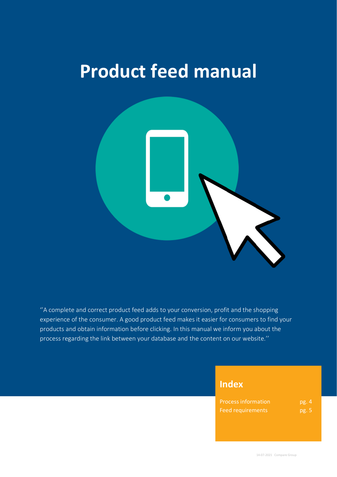# **Product feed manual**



''A complete and correct product feed adds to your conversion, profit and the shopping experience of the consumer. A good product feed makes it easier for consumers to find your products and obtain information before clicking. In this manual we inform you about the process regarding the link between your database and the content on our website.''

# **Index**

| <b>Process information</b> | pg. 4 |
|----------------------------|-------|
| <b>Feed requirements</b>   | pg. 5 |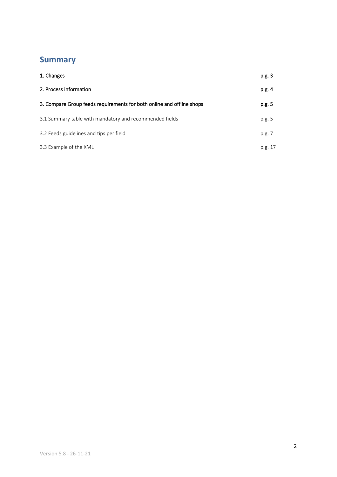# **Summary**

| 1. Changes                                                            | p.g. 3  |
|-----------------------------------------------------------------------|---------|
| 2. Process information                                                | p.g. 4  |
| 3. Compare Group feeds requirements for both online and offline shops | p.g. 5  |
| 3.1 Summary table with mandatory and recommended fields               | p.g. 5  |
| 3.2 Feeds guidelines and tips per field                               | p.g. 7  |
| 3.3 Example of the XML                                                | p.g. 17 |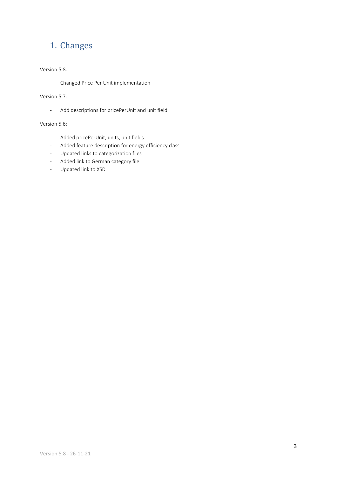# 1. Changes

### Version 5.8:

- Changed Price Per Unit implementation

### Version 5.7:

- Add descriptions for pricePerUnit and unit field

### Version 5.6:

- Added pricePerUnit, units, unit fields
- Added feature description for energy efficiency class
- Updated links to categorization files
- Added link to German category file
- Updated link to XSD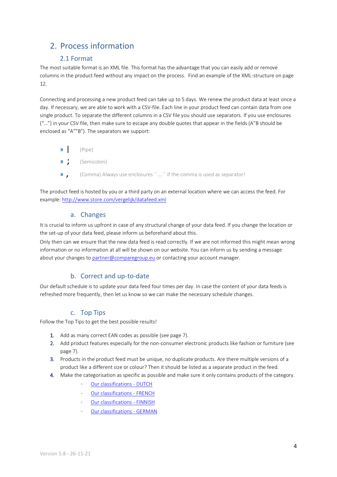# 2. Process information

# 2.1 Format

The most suitable format is an XML file. This format has the advantage that you can easily add or remove columns in the product feed without any impact on the process. Find an example of the XML-structure on page 12.

Connecting and processing a new product feed can take up to 5 days. We renew the product data at least once a day. If necessary, we are able to work with a CSV-file. Each line in your product feed can contain data from one single product. To separate the different columns in a CSV file you should use separators. If you use enclosures ("…") in your CSV file, then make sure to escape any double quotes that appear in the fields (A"B should be enclosed as "A""B"). The separators we support:

- $\n *W*\n (Pipe)$
- » ; (Semicolon)
- » , (Comma) Always use enclosures ´´….´´ if the comma is used as separator!

The product feed is hosted by you or a third party on an external location where we can access the feed. For example[: http://www.store.com/vergelijk/datafeed.xml](http://www.store.com/vergelijk/datafeed.xml)

### a. Changes

It is crucial to inform us upfront in case of any structural change of your data feed. If you change the location or the set-up of your data feed, please inform us beforehand about this.

Only then can we ensure that the new data feed is read correctly. If we are not informed this might mean wrong information or no information at all will be shown on our website. You can inform us by sending a message about your changes to [partner@comparegroup.eu](mailto:partner@comparegroup.eu) or contacting your account manager.

# b. Correct and up-to-date

Our default schedule is to update your data feed four times per day. In case the content of your data feeds is refreshed more frequently, then let us know so we can make the necessary schedule changes.

### c. Top Tips

Follow the Top Tips to get the best possible results!

- 1. Add as many correct EAN codes as possible (see page 7).
- 2. Add product features especially for the non-consumer electronic products like fashion or furniture (see page 7).
- 3. Products in the product feed must be unique, no duplicate products. Are there multiple versions of a product like a different size or colour? Then it should be listed as a separate product in the feed.
- 4. Make the categorisation as specific as possible and make sure it only contains products of the category.
	- [Our classifications -](https://sc.vergelijk.nl/webshops/nl/classifications+NL.txt) DUTCH
	- [Our classifications -](https://sc.vergelijk.nl/webshops/fr/classifications+FR.txt) FRENCH
	- [Our classifications -](https://sc.vergelijk.nl/webshops/fi/classifications+FI.txt) FINNISH
	- [Our classifications -](https://sc.vergelijk.nl/webshops/de/classifications+DE.txt) GERMAN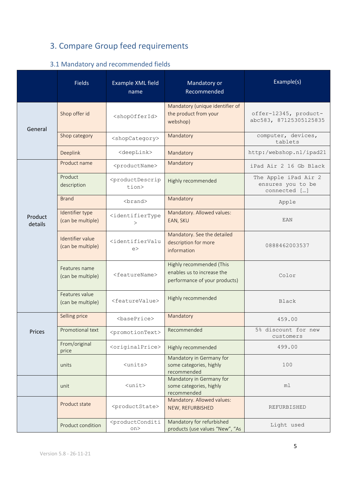# 3. Compare Group feed requirements

# 3.1 Mandatory and recommended fields

|                                                                    | <b>Fields</b>                         | Example XML field<br>name                                                               | Mandatory or<br>Recommended                                          | Example(s)                                                |  |
|--------------------------------------------------------------------|---------------------------------------|-----------------------------------------------------------------------------------------|----------------------------------------------------------------------|-----------------------------------------------------------|--|
| General                                                            | Shop offer id                         | <shopofferid></shopofferid>                                                             | Mandatory (unique identifier of<br>the product from your<br>webshop) | offer-12345, product-<br>abc583, 87125305125835           |  |
|                                                                    | Shop category                         | <shopcategory></shopcategory>                                                           | Mandatory                                                            | computer, devices,<br>tablets                             |  |
|                                                                    | Deeplink                              | <deeplink></deeplink>                                                                   | Mandatory                                                            | http:/webshop.nl/ipad21                                   |  |
|                                                                    | Product name                          | <productname></productname>                                                             | Mandatory                                                            | iPad Air 2 16 Gb Black                                    |  |
|                                                                    | Product<br>description                | <productdescrip<br>tion&gt;</productdescrip<br>                                         | Highly recommended                                                   | The Apple iPad Air 2<br>ensures you to be<br>connected [] |  |
|                                                                    | <b>Brand</b>                          | <brand></brand>                                                                         | Mandatory                                                            | Apple                                                     |  |
| Product<br>details                                                 | Identifier type<br>(can be multiple)  | <identifiertype<br><math>\geq</math></identifiertype<br>                                | Mandatory. Allowed values:<br>EAN, SKU                               | EAN                                                       |  |
|                                                                    | Identifier value<br>(can be multiple) | <identifiervalu<br>e</identifiervalu<br>                                                | Mandatory. See the detailed<br>description for more<br>information   | 0888462003537                                             |  |
| Features name<br><featurename><br/>(can be multiple)</featurename> |                                       | Highly recommended (This<br>enables us to increase the<br>performance of your products) | Color                                                                |                                                           |  |
|                                                                    | Features value<br>(can be multiple)   | <featurevalue></featurevalue>                                                           | Highly recommended                                                   | <b>Black</b>                                              |  |
|                                                                    | Selling price                         | $<$ basePrice>                                                                          | Mandatory                                                            | 459.00                                                    |  |
| Prices                                                             | Promotional text                      | <promotiontext></promotiontext>                                                         | Recommended                                                          | 5% discount for new<br>customers                          |  |
|                                                                    | From/original<br>price                | <originalprice></originalprice>                                                         | Highly recommended                                                   | 499.00                                                    |  |
|                                                                    | units                                 | $<$ units $>$                                                                           | Mandatory in Germany for<br>some categories, highly<br>recommended   | 100                                                       |  |
|                                                                    | unit                                  | $\langle \text{unit}\rangle$                                                            | Mandatory in Germany for<br>some categories, highly<br>recommended   | ml                                                        |  |
|                                                                    | Product state                         | <productstate></productstate>                                                           | Mandatory. Allowed values:<br>NEW, REFURBISHED                       | REFURBISHED                                               |  |
|                                                                    | Product condition                     | <productconditi<br>on</productconditi<br>                                               | Mandatory for refurbished<br>products (use values "New", "As         | Light used                                                |  |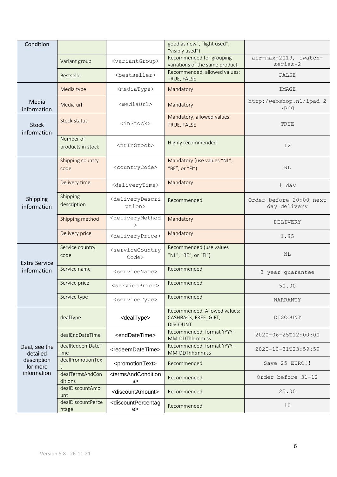| Condition                                                           |                                |                                                          | good as new", "light used",<br>"visibly used")                          |                                         |  |
|---------------------------------------------------------------------|--------------------------------|----------------------------------------------------------|-------------------------------------------------------------------------|-----------------------------------------|--|
|                                                                     | Variant group                  | <variantgroup></variantgroup>                            | Recommended for grouping<br>variations of the same product              | air-max-2019, iwatch-<br>series-2       |  |
|                                                                     | <b>Bestseller</b>              | <bestseller></bestseller>                                | Recommended, allowed values:<br>TRUE, FALSE                             | FALSE                                   |  |
|                                                                     | Media type                     | <mediatype></mediatype>                                  | Mandatory                                                               | IMAGE                                   |  |
| Media<br>information                                                | Media url                      | <mediaurl></mediaurl>                                    | Mandatory                                                               | http:/webshop.nl/ipad 2<br>.png         |  |
| Stock<br>information                                                | Stock status                   | $inStock$                                                | Mandatory, allowed values:<br>TRUE, FALSE                               | TRUE                                    |  |
|                                                                     | Number of<br>products in stock | <nrinstock></nrinstock>                                  | Highly recommended                                                      | 12                                      |  |
|                                                                     | Shipping country<br>code       | <countrycode></countrycode>                              | Mandatory (use values "NL",<br>"BE", or "FI")                           | N <sub>L</sub>                          |  |
|                                                                     | Delivery time                  | <deliverytime></deliverytime>                            | Mandatory                                                               | 1 day                                   |  |
| Shipping<br>information                                             | Shipping<br>description        | <deliverydescri<br>ption&gt;</deliverydescri<br>         | Recommended                                                             | Order before 20:00 next<br>day delivery |  |
|                                                                     | Shipping method                | <deliverymethod<br><math>\geq</math></deliverymethod<br> | Mandatory                                                               | DELIVERY                                |  |
|                                                                     | Delivery price                 | <deliveryprice></deliveryprice>                          | Mandatory                                                               | 1.95                                    |  |
| <b>Extra Service</b><br>information                                 | Service country<br>code        | <servicecountry<br>Code&gt;</servicecountry<br>          | Recommended (use values<br>"NL", "BE", or "FI")                         | NL                                      |  |
|                                                                     | Service name                   | $<$ serviceName>                                         | Recommended                                                             | 3 year guarantee                        |  |
|                                                                     | Service price                  | <serviceprice></serviceprice>                            | Recommended                                                             | 50.00                                   |  |
|                                                                     | Service type                   | <servicetype></servicetype>                              | Recommended                                                             | WARRANTY                                |  |
| Deal, see the<br>detailed<br>description<br>for more<br>information | dealType                       | <dealtype></dealtype>                                    | Recommended. Allowed values:<br>CASHBACK, FREE_GIFT,<br><b>DISCOUNT</b> | <b>DISCOUNT</b>                         |  |
|                                                                     | dealEndDateTime                | <enddatetime></enddatetime>                              | Recommended, format YYYY-<br>MM-DDThh:mm:ss                             | 2020-06-25T12:00:00                     |  |
|                                                                     | dealRedeemDateT<br>ime         | <redeemdatetime></redeemdatetime>                        | Recommended, format YYYY-<br>MM-DDThh:mm:ss                             | 2020-10-31T23:59:59                     |  |
|                                                                     | dealPromotionTex               | <promotiontext></promotiontext>                          | Recommended                                                             | Save 25 EURO!!                          |  |
|                                                                     | dealTermsAndCon<br>ditions     | <termsandcondition<br>s&gt;</termsandcondition<br>       | Recommended                                                             | Order before 31-12                      |  |
|                                                                     | dealDiscountAmo<br>unt         | <discountamount></discountamount>                        | Recommended                                                             | 25.00                                   |  |
|                                                                     | dealDiscountPerce<br>ntage     | <discountpercentag<br>e</discountpercentag<br>           | Recommended                                                             | 10                                      |  |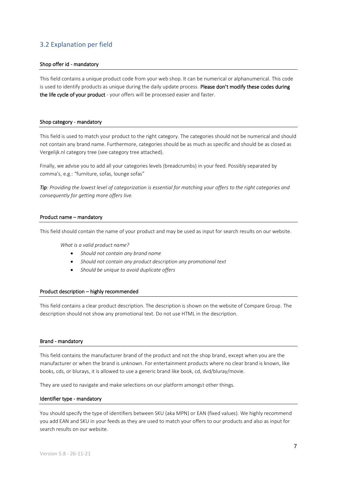# 3.2 Explanation per field

#### Shop offer id - mandatory

This field contains a unique product code from your web shop. It can be numerical or alphanumerical. This code is used to identify products as unique during the daily update process. Please don't modify these codes during the life cycle of your product - your offers will be processed easier and faster.

#### Shop category - mandatory

This field is used to match your product to the right category. The categories should not be numerical and should not contain any brand name. Furthermore, categories should be as much as specific and should be as closed as Vergelijk.nl category tree (see category tree attached).

Finally, we advise you to add all your categories levels (breadcrumbs) in your feed. Possibly separated by comma's, e.g.: "furniture, sofas, lounge sofas"

*Tip: Providing the lowest level of categorization is essential for matching your offers to the right categories and consequently for getting more offers live.*

#### Product name – mandatory

This field should contain the name of your product and may be used as input for search results on our website.

*What is a valid product name?*

- *Should not contain any brand name*
- *Should not contain any product description any promotional text*
- *Should be unique to avoid duplicate offers*

#### Product description – highly recommended

This field contains a clear product description. The description is shown on the website of Compare Group. The description should not show any promotional text. Do not use HTML in the description.

#### Brand - mandatory

This field contains the manufacturer brand of the product and not the shop brand, except when you are the manufacturer or when the brand is unknown. For entertainment products where no clear brand is known, like books, cds, or blurays, it is allowed to use a generic brand like book, cd, dvd/bluray/movie.

They are used to navigate and make selections on our platform amongst other things.

#### Identifier type - mandatory

You should specify the type of identifiers between SKU (aka MPN) or EAN (fixed values). We highly recommend you add EAN and SKU in your feeds as they are used to match your offers to our products and also as input for search results on our website.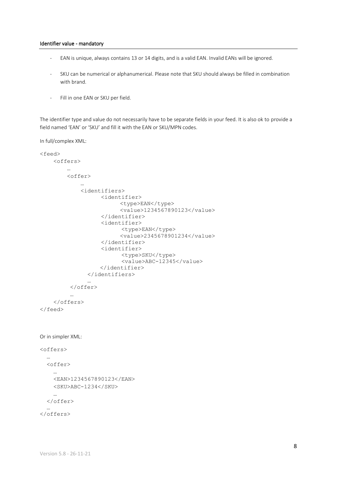#### Identifier value - mandatory

- EAN is unique, always contains 13 or 14 digits, and is a valid EAN. Invalid EANs will be ignored.
- SKU can be numerical or alphanumerical. Please note that SKU should always be filled in combination with brand.
- Fill in one EAN or SKU per field.

The identifier type and value do not necessarily have to be separate fields in your feed. It is also ok to provide a field named 'EAN' or 'SKU' and fill it with the EAN or SKU/MPN codes.

In full/complex XML:

```
<feed>
     <offers>
         …
         <offer>
 …
             <identifiers>
                    <identifier>
                          <type>EAN</type>
                          <value>1234567890123</value>
                    </identifier>
                    <identifier>
                          <type>EAN</type>
                          <value>2345678901234</value>
                    </identifier>
                    <identifier>
                          <type>SKU</type>
                          <value>ABC-12345</value>
                    </identifier>
                </identifiers>
 …
          </offer>
          …
     </offers>
</feed>
Or in simpler XML:
<offers>
   …
   <offer>
     …
     <EAN>1234567890123</EAN>
     <SKU>ABC-1234</SKU>
     …
   </offer>
 …
</offers>
```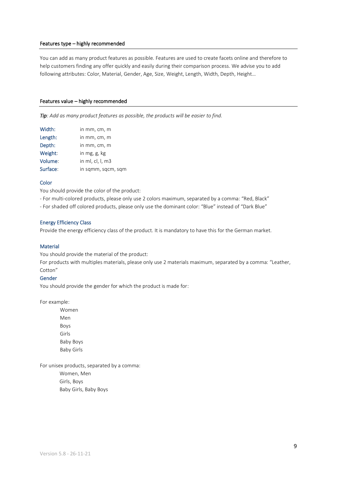#### Features type – highly recommended

You can add as many product features as possible. Features are used to create facets online and therefore to help customers finding any offer quickly and easily during their comparison process. We advise you to add following attributes: Color, Material, Gender, Age, Size, Weight, Length, Width, Depth, Height…

#### Features value – highly recommended

*Tip: Add as many product features as possible, the products will be easier to find.*

| Width:   | in mm, cm, m       |
|----------|--------------------|
| Length:  | in mm, cm, m       |
| Depth:   | in mm, cm, m       |
| Weight:  | in mg, g, kg       |
| Volume:  | in ml, cl, l, m3   |
| Surface: | in sqmm, sqcm, sqm |

#### **Color**

You should provide the color of the product:

- For multi-colored products, please only use 2 colors maximum, separated by a comma: "Red, Black"
- For shaded off colored products, please only use the dominant color: "Blue" instead of "Dark Blue"

#### Energy Efficiency Class

Provide the energy efficiency class of the product. It is mandatory to have this for the German market.

#### Material

You should provide the material of the product:

For products with multiples materials, please only use 2 materials maximum, separated by a comma: "Leather, Cotton"

#### Gender

You should provide the gender for which the product is made for:

For example:

Women Men Boys Girls Baby Boys Baby Girls

For unisex products, separated by a comma:

Women, Men Girls, Boys Baby Girls, Baby Boys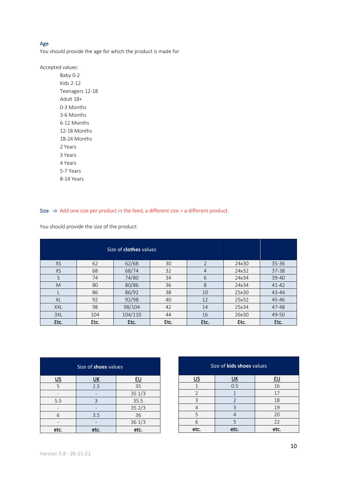#### Age

You should provide the age for which the product is made for

Accepted values:

Baby 0-2 Kids 2-12 Teenagers 12-18 Adult 18+ 0-3 Months 3-6 Months 6-12 Months 12-18 Months 18-24 Months 2 Years 3 Years 4 Years 5-7 Years 8-14 Years

Size -> Add one size per product in the feed, a different size = a different product.

You should provide the size of the product:

| Size of <b>clothes</b> values |      |         |      |                |       |           |
|-------------------------------|------|---------|------|----------------|-------|-----------|
| XS                            | 62   | 62/68   | 30   | $\overline{2}$ | 24x30 | $35 - 36$ |
| <b>XS</b>                     | 68   | 68/74   | 32   | $\overline{4}$ | 24x32 | $37 - 38$ |
| S                             | 74   | 74/80   | 34   | 6              | 24x34 | $39 - 40$ |
| M                             | 80   | 80/86   | 36   | 8              | 24x34 | $41 - 42$ |
|                               | 86   | 86/92   | 38   | 10             | 25x30 | 43-44     |
| <b>XL</b>                     | 92   | 92/98   | 40   | 12             | 25x32 | 45-46     |
| <b>XXL</b>                    | 98   | 98/104  | 42   | 14             | 25x34 | 47-48     |
| 3XL                           | 104  | 104/110 | 44   | 16             | 26x30 | 49-50     |
| Etc.                          | Etc. | Etc.    | Etc. | Etc.           | Etc.  | Etc.      |

| Size of <b>shoes</b> values |              |           |  |  |  |
|-----------------------------|--------------|-----------|--|--|--|
| <u>US</u>                   | <u>UК</u>    | <u>EU</u> |  |  |  |
| 5                           | 2.5          | 35        |  |  |  |
|                             |              | 351/3     |  |  |  |
| 5.5                         | 3            | 35.5      |  |  |  |
|                             |              | 352/3     |  |  |  |
| 6                           | 3.5          | 36        |  |  |  |
|                             |              | 361/3     |  |  |  |
| etc.                        | etc.<br>etc. |           |  |  |  |

| Size of kids shoes values |                |    |  |  |  |
|---------------------------|----------------|----|--|--|--|
| US                        | <u>ик</u>      | EU |  |  |  |
|                           | 0.5            | 16 |  |  |  |
| $\overline{2}$            |                | 17 |  |  |  |
| 3                         | $\mathfrak{D}$ | 18 |  |  |  |
|                           | $\mathsf{R}$   | 19 |  |  |  |
| 5                         |                | 20 |  |  |  |
| 6                         | 5<br>22        |    |  |  |  |
| etc.<br>etc.<br>etc.      |                |    |  |  |  |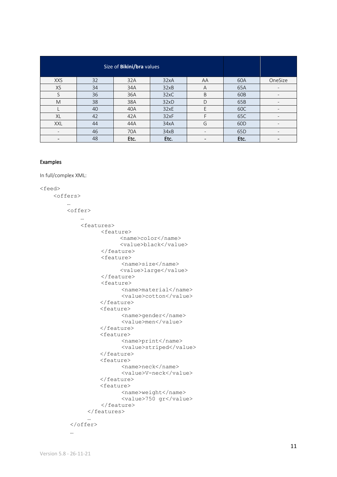| Size of Bikini/bra values |    |      |      |    |                 |                          |
|---------------------------|----|------|------|----|-----------------|--------------------------|
| <b>XXS</b>                | 32 | 32A  | 32xA | AA | 60A             | OneSize                  |
| <b>XS</b>                 | 34 | 34A  | 32xB | A  | 65A             |                          |
| S                         | 36 | 36A  | 32xC | B  | 60B             | $\overline{\phantom{a}}$ |
| M                         | 38 | 38A  | 32xD | D  | 65B             | $\overline{\phantom{0}}$ |
|                           | 40 | 40A  | 32xE | F  | 60C             | $\qquad \qquad$          |
| XL                        | 42 | 42A  | 32xF | F  | 65C             | $\overline{\phantom{a}}$ |
| <b>XXL</b>                | 44 | 44A  | 34xA | G  | 60 <sub>D</sub> | $\overline{\phantom{0}}$ |
| $\overline{\phantom{0}}$  | 46 | 70A  | 34xB |    | 65 <sub>D</sub> | $\overline{\phantom{a}}$ |
|                           | 48 | Etc. | Etc. |    | Etc.            |                          |

#### Examples

In full/complex XML:

```
<feed>
     <offers>
 …
         <offer>
 …
             <features>
                   <feature>
                         <name>color</name>
                         <value>black</value>
                   </feature>
                   <feature>
                         <name>size</name>
                        <value>large</value>
                   </feature>
                  <feature>
                         <name>material</name>
                        <value>cotton</value>
                   </feature>
                  <feature>
                         <name>gender</name>
                        <value>men</value>
                   </feature>
                  <feature>
                         <name>print</name>
                        <value>striped</value>
                   </feature>
                  <feature>
                         <name>neck</name>
                        <value>V-neck</value>
                   </feature>
                  <feature>
                         <name>weight</name>
                        <value>750 gr</value>
                   </feature>
               </features>
 …
          </offer>
          …
```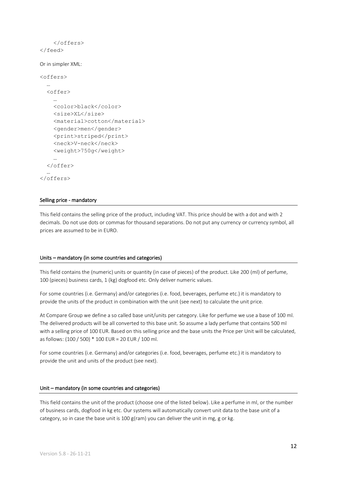```
 </offers>
</feed>
```
Or in simpler XML:

```
<offers>
   …
   <offer>
 …
     <color>black</color>
     <size>XL</size>
     <material>cotton</material>
     <gender>men</gender>
     <print>striped</print>
     <neck>V-neck</neck>
     <weight>750g</weight>
 …
   </offer>
 …
</offers>
```
#### Selling price - mandatory

This field contains the selling price of the product, including VAT. This price should be with a dot and with 2 decimals. Do not use dots or commas for thousand separations. Do not put any currency or currency symbol, all prices are assumed to be in EURO.

#### Units – mandatory (in some countries and categories)

This field contains the (numeric) units or quantity (in case of pieces) of the product. Like 200 (ml) of perfume, 100 (pieces) business cards, 1 (kg) dogfood etc. Only deliver numeric values.

For some countries (i.e. Germany) and/or categories (i.e. food, beverages, perfume etc.) it is mandatory to provide the units of the product in combination with the unit (see next) to calculate the unit price.

At Compare Group we define a so called base unit/units per category. Like for perfume we use a base of 100 ml. The delivered products will be all converted to this base unit. So assume a lady perfume that contains 500 ml with a selling price of 100 EUR. Based on this selling price and the base units the Price per Unit will be calculated, as follows: (100 / 500) \* 100 EUR = 20 EUR / 100 ml.

For some countries (i.e. Germany) and/or categories (i.e. food, beverages, perfume etc.) it is mandatory to provide the unit and units of the product (see next).

#### Unit – mandatory (in some countries and categories)

This field contains the unit of the product (choose one of the listed below). Like a perfume in ml, or the number of business cards, dogfood in kg etc. Our systems will automatically convert unit data to the base unit of a category, so in case the base unit is 100  $g$ (ram) you can deliver the unit in mg, g or kg.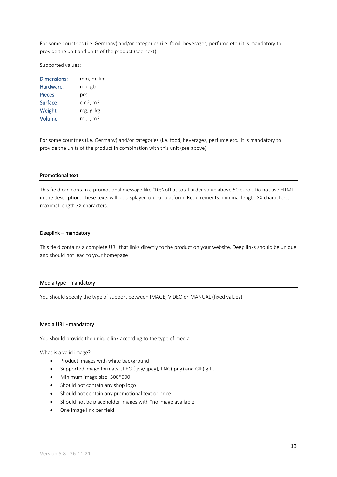For some countries (i.e. Germany) and/or categories (i.e. food, beverages, perfume etc.) it is mandatory to provide the unit and units of the product (see next).

#### Supported values:

| <b>Dimensions:</b> | mm, m, km |
|--------------------|-----------|
| Hardware:          | mb, gb    |
| Pieces:            | pcs       |
| Surface:           | cm2, m2   |
| Weight:            | mg, g, kg |
| Volume:            | ml, l, m3 |

For some countries (i.e. Germany) and/or categories (i.e. food, beverages, perfume etc.) it is mandatory to provide the units of the product in combination with this unit (see above).

#### Promotional text

This field can contain a promotional message like '10% off at total order value above 50 euro'. Do not use HTML in the description. These texts will be displayed on our platform. Requirements: minimal length XX characters, maximal length XX characters.

#### Deeplink – mandatory

This field contains a complete URL that links directly to the product on your website. Deep links should be unique and should not lead to your homepage.

#### Media type - mandatory

You should specify the type of support between IMAGE, VIDEO or MANUAL (fixed values).

#### Media URL - mandatory

You should provide the unique link according to the type of media

What is a valid image?

- Product images with white background
- Supported image formats: JPEG (.jpg/.jpeg), PNG(.png) and GIF(.gif).
- Minimum image size: 500\*500
- Should not contain any shop logo
- Should not contain any promotional text or price
- Should not be placeholder images with "no image available"
- One image link per field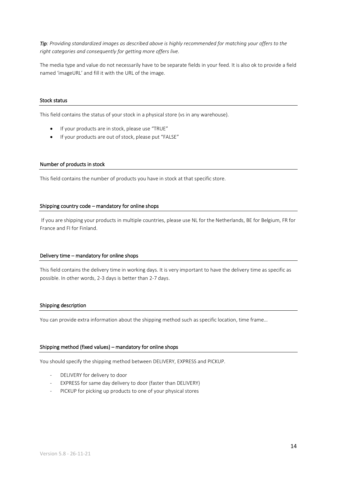*Tip: Providing standardized images as described above is highly recommended for matching your offers to the right categories and consequently for getting more offers live.*

The media type and value do not necessarily have to be separate fields in your feed. It is also ok to provide a field named 'imageURL' and fill it with the URL of the image.

#### Stock status

This field contains the status of your stock in a physical store (vs in any warehouse).

- If your products are in stock, please use "TRUE"
- If your products are out of stock, please put "FALSE"

#### Number of products in stock

This field contains the number of products you have in stock at that specific store.

#### Shipping country code – mandatory for online shops

If you are shipping your products in multiple countries, please use NL for the Netherlands, BE for Belgium, FR for France and FI for Finland.

#### Delivery time – mandatory for online shops

This field contains the delivery time in working days. It is very important to have the delivery time as specific as possible. In other words, 2-3 days is better than 2-7 days.

#### Shipping description

You can provide extra information about the shipping method such as specific location, time frame...

#### Shipping method (fixed values) – mandatory for online shops

You should specify the shipping method between DELIVERY, EXPRESS and PICKUP.

- DELIVERY for delivery to door
- EXPRESS for same day delivery to door (faster than DELIVERY)
- PICKUP for picking up products to one of your physical stores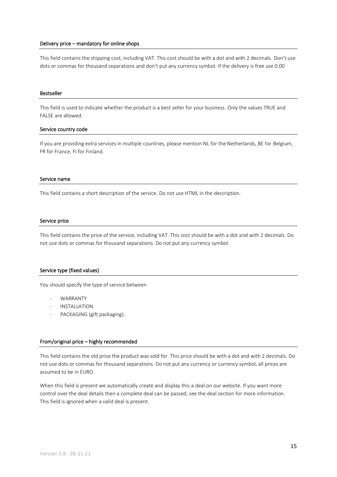#### Delivery price – mandatory for online shops

This field contains the shipping cost, including VAT. This cost should be with a dot and with 2 decimals. Don't use dots or commas for thousand separations and don't put any currency symbol. If the delivery is free use 0.00

#### Bestseller

This field is used to indicate whether the product is a best seller for your business. Only the values TRUE and FALSE are allowed.

#### Service country code

If you are providing extra services in multiple countries, please mention NL for the Netherlands, BE for Belgium, FR for France, FI for Finland.

#### Service name

This field contains a short description of the service. Do not use HTML in the description.

#### Service price

This field contains the price of the service, including VAT. This cost should be with a dot and with 2 decimals. Do not use dots or commas for thousand separations. Do not put any currency symbol.

#### Service type (fixed values)

You should specify the type of service between

- WARRANTY
- **INSTALLATION**
- PACKAGING (gift packaging).

#### From/original price – highly recommended

This field contains the old price the product was sold for. This price should be with a dot and with 2 decimals. Do not use dots or commas for thousand separations. Do not put any currency or currency symbol, all prices are assumed to be in EURO.

When this field is present we automatically create and display this a deal on our website. If you want more control over the deal details then a complete deal can be passed; see the deal section for more information. This field is ignored when a valid deal is present.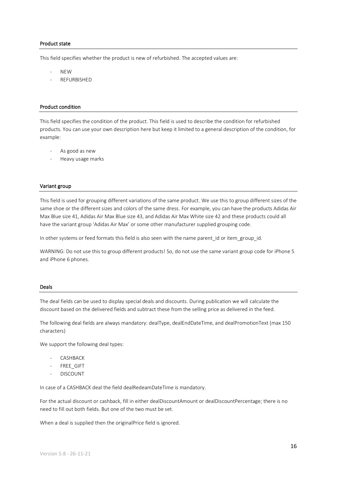#### Product state

This field specifies whether the product is new of refurbished. The accepted values are:

- NEW
- **REFURBISHED**

#### Product condition

This field specifies the condition of the product. This field is used to describe the condition for refurbished products. You can use your own description here but keep it limited to a general description of the condition, for example:

- As good as new
- Heavy usage marks

#### Variant group

This field is used for grouping different variations of the same product. We use this to group different sizes of the same shoe or the different sizes and colors of the same dress. For example, you can have the products Adidas Air Max Blue size 41, Adidas Air Max Blue size 43, and Adidas Air Max White size 42 and these products could all have the variant group 'Adidas Air Max' or some other manufacturer supplied grouping code.

In other systems or feed formats this field is also seen with the name parent\_id or item\_group\_id.

WARNING: Do not use this to group different products! So, do not use the same variant group code for iPhone 5 and iPhone 6 phones.

#### Deals

The deal fields can be used to display special deals and discounts. During publication we will calculate the discount based on the delivered fields and subtract these from the selling price as delivered in the feed.

The following deal fields are always mandatory: dealType, dealEndDateTime, and dealPromotionText (max 150 characters)

We support the following deal types:

- **CASHBACK**
- FREE\_GIFT
- **DISCOUNT**

In case of a CASHBACK deal the field dealRedeamDateTime is mandatory.

For the actual discount or cashback, fill in either dealDiscountAmount or dealDiscountPercentage; there is no need to fill out both fields. But one of the two must be set.

When a deal is supplied then the originalPrice field is ignored.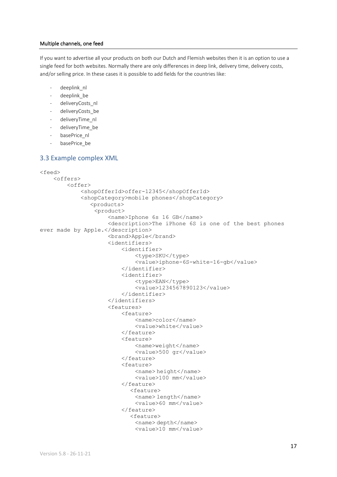#### Multiple channels, one feed

If you want to advertise all your products on both our Dutch and Flemish websites then it is an option to use a single feed for both websites. Normally there are only differences in deep link, delivery time, delivery costs, and/or selling price. In these cases it is possible to add fields for the countries like:

- deeplink\_nl
- deeplink be
- deliveryCosts\_nl
- deliveryCosts\_be
- deliveryTime\_nl
- deliveryTime\_be
- basePrice\_nl
- basePrice\_be

### 3.3 Example complex XML

```
<feed>
     <offers>
         <offer>
              <shopOfferId>offer-12345</shopOfferId>
              <shopCategory>mobile phones</shopCategory>
                 <products>
                  <product>
                      <name>Iphone 6s 16 GB</name>
                     <description>The iPhone 6S is one of the best phones 
ever made by Apple.</description>
                      <brand>Apple</brand>
                     <identifiers>
                           <identifier>
                              <type>SKU</type>
                              <value>iphone-6S-white-16-gb</value>
                           </identifier>
                          <identifier>
                              <type>EAN</type>
                              <value>1234567890123</value>
                           </identifier>
                      </identifiers>
                     <features>
                           <feature>
                               <name>color</name>
                              <value>white</value>
                           </feature>
                          <feature>
                               <name>weight</name>
                              <value>500 gr</value>
                           </feature>
                          <feature>
                               <name> height</name>
                              <value>100 mm</value>
                           </feature>
                             <feature>
                               <name> length</name>
                              <value>60 mm</value>
                           </feature>
                             <feature>
                               <name> depth</name>
                              <value>10 mm</value>
```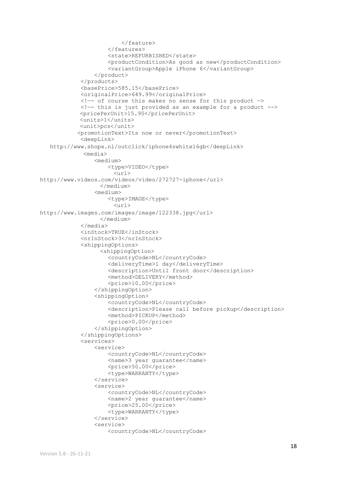```
 </feature>
                      </features>
                     <state>REFURBISHED</state>
                      <productCondition>As good as new</productCondition>
                     <variantGroup>Apple iPhone 6</variantGroup>
                  </product>
              </products>
              <basePrice>585.15</basePrice>
              <originalPrice>649.99</originalPrice>
             \langle !-- of course this makes no sense for this product \rightarrow <!—- this is just provided as an example for a product --> 
            <pricePerUnit>15.90</pricePerUnit>
             <units>1</units>
            <unit>pcs</unit>
             <promotionText>Its now or never</promotionText>
              <deepLink>
   http://www.shopx.nl/outclick/iphone4swhite16gb</deepLink>
              <media>
                  <medium>
                      <type>VIDEO</type>
                       \langle \text{url}\ranglehttp://www.videos.com/videos/video/272727-iphone</url>
                   </medium>
                  <medium>
                     <type>IMAGE</type>
                        <url>
http://www.images.com/images/image/122338.jpg</url>
                   </medium>
              </media>
              <inStock>TRUE</inStock>
              <nrInStock>3</nrInStock>
              <shippingOptions>
                   <shippingOption>
                      <countryCode>NL</countryCode>
                     <deliveryTime>1 day</deliveryTime>
                     <description>Until front door</description>
                     <method>DELIVERY</method>
                     <price>10.00</price>
                  </shippingOption>
                 <shippingOption>
                      <countryCode>NL</countryCode>
                     <description>Please call before pickup</description>
                     <method>PICKUP</method>
                     <price>0.00</price>
                  </shippingOption>
              </shippingOptions>
              <services>
                  <service>
                      <countryCode>NL</countryCode>
                     <name>3 year guarantee</name>
                     <price>50.00</price>
                     <type>WARRANTY</type>
                  </service>
                 <service>
                      <countryCode>NL</countryCode>
                     <name>2 year guarantee</name>
                     <price>25.00</price>
                     <type>WARRANTY</type>
                  </service>
                  <service>
                      <countryCode>NL</countryCode>
```